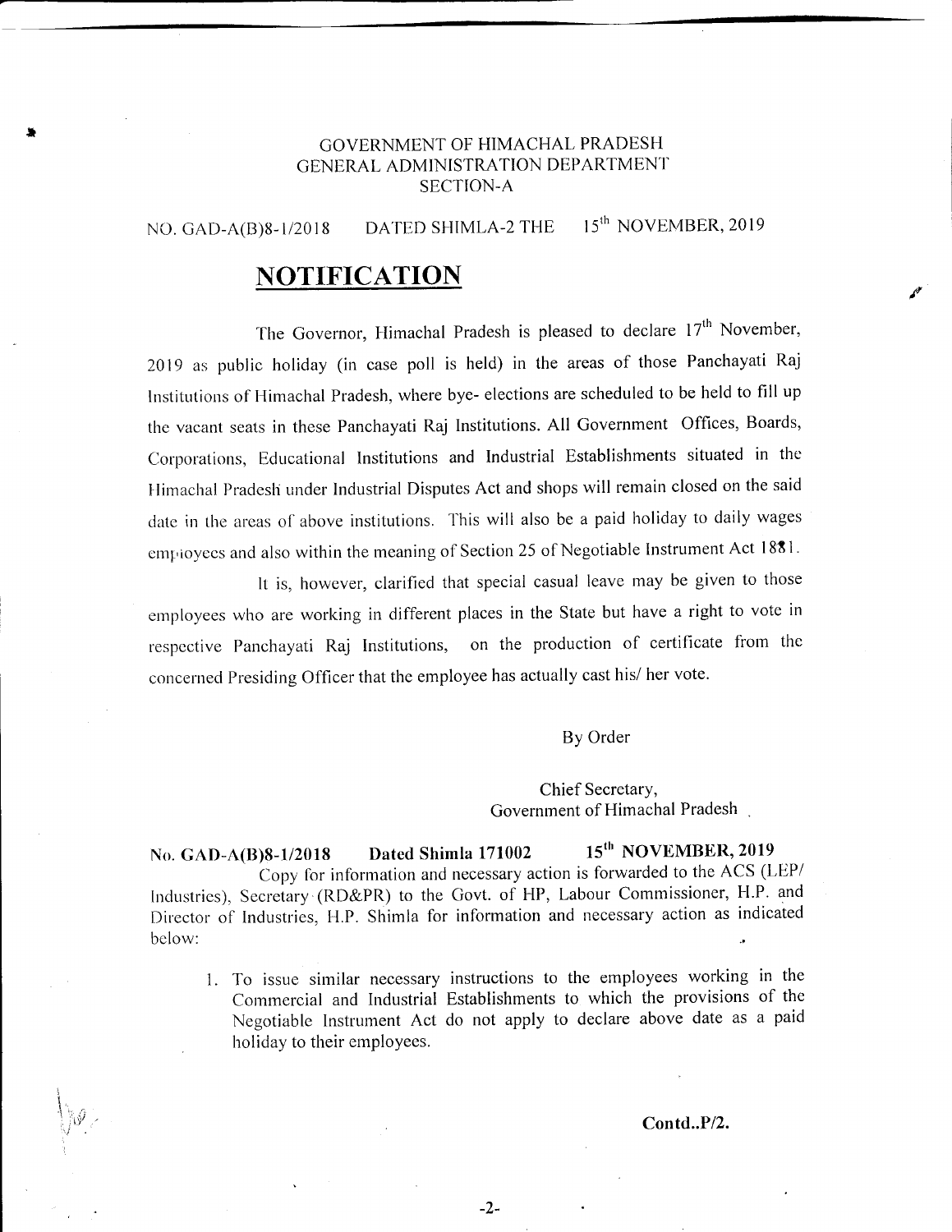### GOVERNMENT OF HIMACHAL PRADESH GENERAL ADMINISTRATION DEPARTMENT SECTION-A

## NO. GAD-A(B)8-1/2018 DATED SHIMLA-2 THE 15<sup>th</sup> NOVEMBER, 2019

# **NOTIFICATION**

The Governor, Himachal Pradesh is pleased to declare  $17<sup>th</sup>$  November, 2019 as public holiday (in case poll is held) in the areas of those Panchayati Raj Institutions of Himachal Pradesh, where bye- elections are scheduled to be held to fill up the vacant seats in these Panchayati Raj lnstitutions. All Government Offices, Boards, Corporations, Educational Institutions and Industrial Establishments situated in the Himachal Pradesh under Industrial Disputes Act and shops will remain closed on the said date in the areas of above institutions. This will also be a paid holiday to daily wages employees and also within the meaning of Section 25 of Negotiable Instrument Act 1881.

It is, however, clarified that special casual leave may be given to those employees who are working in different places in the State but have a right to vote in respcctive Panchayati Raj lnstitutions, oo the production of certificate frorn thc concerned Presiding Officer that the employee has actually cast his/ her vote.

By Order

Chief SecretarY, Government of Himachal Pradesh

No. GAD-A(B)8-1/2018 Dated Shimla 171002 15<sup>th</sup> NOVEMBER, 2019 Copy for information and necessary action is forwarded to the ACS (LEP/ Industries), Secretary (RD&PR) to the Govt. of HP, Labour Commissioner, H.P. and Director of Industries, H.P. Shimla for information and necessary action as indicated below:

1. To issue similar necessary instructions to the employees working in the Commercial and Industrial Establishments to which the provisions of the Negotiable lnstrument Act do not apply to declare above date as a paid holiday to their employees.

#### Contd..P/2.

I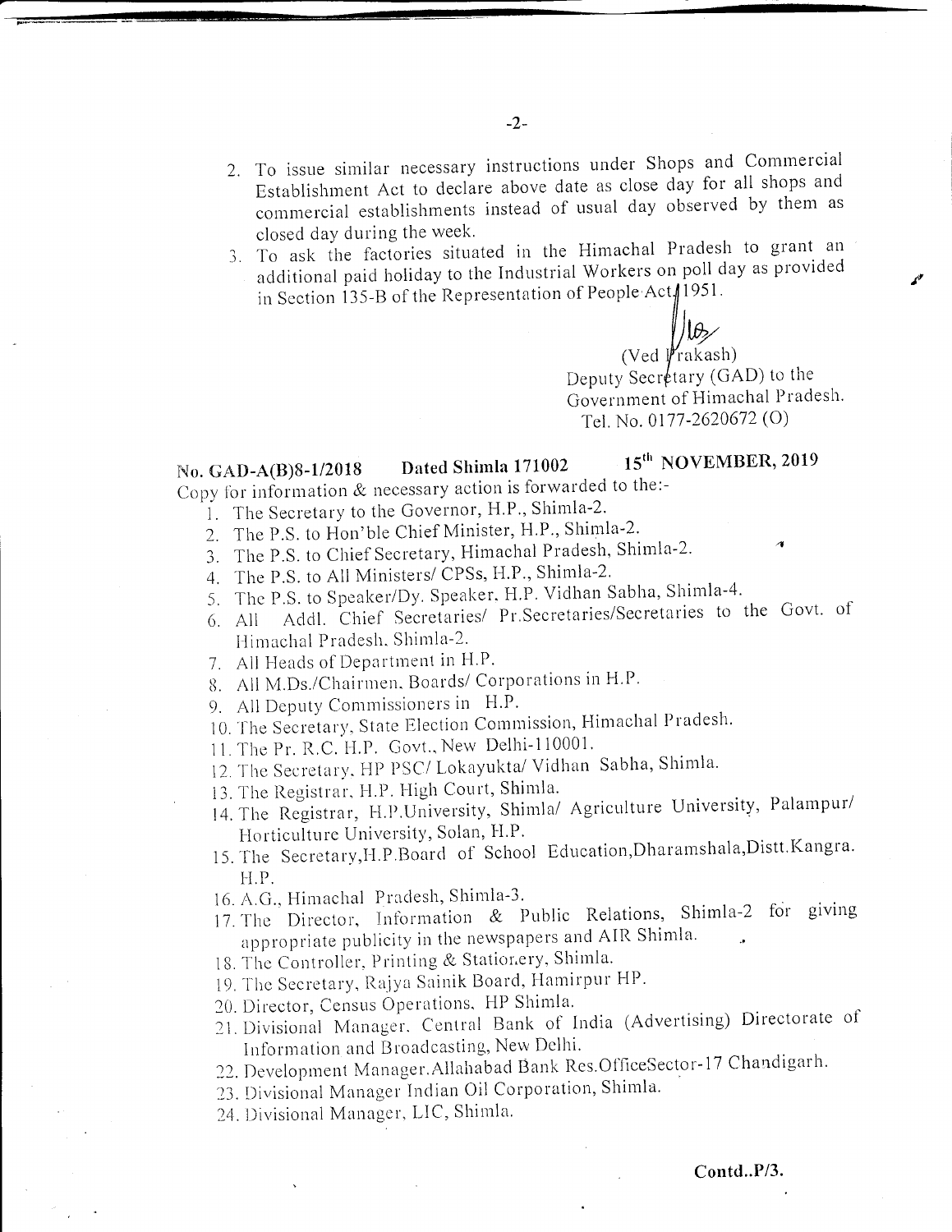- 2. To issue similar necessary instructions under Shops and Commercial Establishment Act to declare above date as close day for all shops and commercial establishments instead of usual day observed by them as closed day during the week.
- 3. To ask the factories situated in the Himachal Pradesh to grant an additional paid holiday to the Industrial Workers on poll day as provided in Section 135-B of the Representation of People Act 1951.

 $\bigvee_{(\text{Ved } \mid \text{rakash})} \bigvee$ Deputy Secretary (GAD) to the Government of Himachal Pradesh. Tel. No. 0177-2620672 (O)

#### 15<sup>th</sup> NOVEMBER, 2019 Dated Shimla 171002 No. GAD-A(B)8-1/2018

Copy for information & necessary action is forwarded to the:-

- 1. The Secretary to the Governor, H.P., Shimla-2.
- 2. The P.S. to Hon'ble Chief Minister, H.P., Shimla-2.
- 3. The P.S. to Chief Secretary, Himachal Pradesh, Shimla-2.
- 4. The P.S. to All Ministers/ CPSs, H.P., Shimla-2.
- 5. The P.S. to Speaker/Dy. Speaker, H.P. Vidhan Sabha, Shimla-4.
- Addl. Chief Secretaries/ Pr. Secretaries/Secretaries to the Govt. of 6. All Himachal Pradesh, Shimla-2.
- 7. All Heads of Department in H.P.
- 8. All M.Ds./Chairmen, Boards/ Corporations in H.P.
- 9. All Deputy Commissioners in H.P.
- 10. The Secretary, State Election Commission, Himachal Pradesh.
- 11. The Pr. R.C. H.P. Govt., New Delhi-110001.
- 12. The Secretary, HP PSC/Lokayukta/Vidhan Sabha, Shimla.
- 13. The Registrar, H.P. High Court, Shimla.
- 14. The Registrar, H.P.University, Shimla/ Agriculture University, Palampur/ Horticulture University, Solan, H.P.
- 15. The Secretary, H.P.Board of School Education, Dharamshala, Distt. Kangra. H.P.
- 16. A.G., Himachal Pradesh, Shimla-3.
- 17. The Director, Information & Public Relations, Shimla-2 for giving appropriate publicity in the newspapers and AIR Shimla.
- 18. The Controller, Printing & Stationery, Shimla.
- 19. The Secretary, Rajya Sainik Board, Hamirpur HP.
- 20. Director, Census Operations, HP Shimla.
- 21. Divisional Manager, Central Bank of India (Advertising) Directorate of Information and Broadcasting, New Delhi.
- 22. Development Manager. Allahabad Bank Res. OfficeSector-17 Chandigarh.
- 23. Divisional Manager Indian Oil Corporation, Shimla.
- 24. Divisional Manager, LIC, Shimla.

#### Contd..P/3.